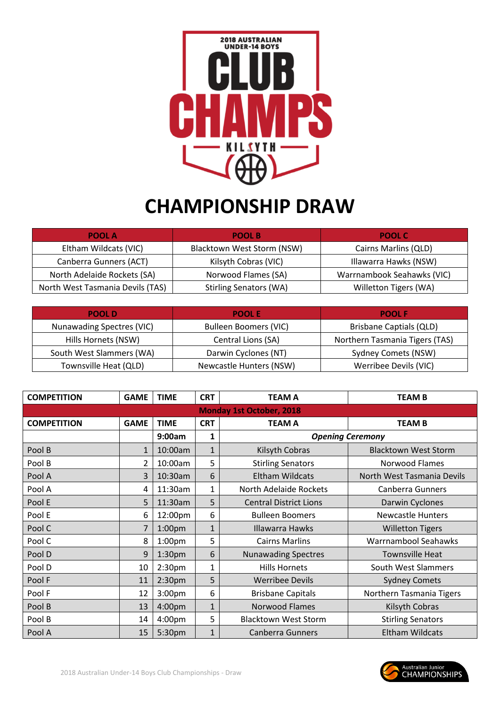

## **CHAMPIONSHIP DRAW**

| <b>POOL A</b>                    | <b>POOL B</b>                     | <b>POOL C</b>              |
|----------------------------------|-----------------------------------|----------------------------|
| Eltham Wildcats (VIC)            | <b>Blacktown West Storm (NSW)</b> | Cairns Marlins (QLD)       |
| Canberra Gunners (ACT)           | Kilsyth Cobras (VIC)              | Illawarra Hawks (NSW)      |
| North Adelaide Rockets (SA)      | Norwood Flames (SA)               | Warrnambook Seahawks (VIC) |
| North West Tasmania Devils (TAS) | <b>Stirling Senators (WA)</b>     | Willetton Tigers (WA)      |

| <b>POOL D</b>             | <b>POOLE</b>                 | <b>POOL F</b>                  |
|---------------------------|------------------------------|--------------------------------|
| Nunawading Spectres (VIC) | <b>Bulleen Boomers (VIC)</b> | Brisbane Captials (QLD)        |
| Hills Hornets (NSW)       | Central Lions (SA)           | Northern Tasmania Tigers (TAS) |
| South West Slammers (WA)  | Darwin Cyclones (NT)         | <b>Sydney Comets (NSW)</b>     |
| Townsville Heat (QLD)     | Newcastle Hunters (NSW)      | Werribee Devils (VIC)          |

| <b>COMPETITION</b>              | <b>GAME</b>    | <b>TIME</b>        | <b>CRT</b>   | <b>TEAM A</b>                  | <b>TEAM B</b>               |  |  |  |  |
|---------------------------------|----------------|--------------------|--------------|--------------------------------|-----------------------------|--|--|--|--|
| <b>Monday 1st October, 2018</b> |                |                    |              |                                |                             |  |  |  |  |
| <b>COMPETITION</b>              | <b>GAME</b>    | <b>TIME</b>        | <b>CRT</b>   | <b>TEAM B</b><br><b>TEAM A</b> |                             |  |  |  |  |
|                                 |                | 9:00am             | 1            |                                | <b>Opening Ceremony</b>     |  |  |  |  |
| Pool B                          | $\mathbf{1}$   | 10:00am            | $\mathbf{1}$ | Kilsyth Cobras                 | <b>Blacktown West Storm</b> |  |  |  |  |
| Pool B                          | $\overline{2}$ | 10:00am            | 5            | <b>Stirling Senators</b>       | Norwood Flames              |  |  |  |  |
| Pool A                          | 3              | 10:30am            | 6            | <b>Eltham Wildcats</b>         | North West Tasmania Devils  |  |  |  |  |
| Pool A                          | 4              | 11:30am            | 1            | North Adelaide Rockets         | Canberra Gunners            |  |  |  |  |
| Pool E                          | 5              | 11:30am            | 5            | <b>Central District Lions</b>  | Darwin Cyclones             |  |  |  |  |
| Pool E                          | 6              | 12:00pm            | 6            | <b>Bulleen Boomers</b>         | <b>Newcastle Hunters</b>    |  |  |  |  |
| Pool C                          | 7              | 1:00 <sub>pm</sub> | $\mathbf{1}$ | <b>Illawarra Hawks</b>         | <b>Willetton Tigers</b>     |  |  |  |  |
| Pool C                          | 8              | 1:00 <sub>pm</sub> | 5            | <b>Cairns Marlins</b>          | Warrnambool Seahawks        |  |  |  |  |
| Pool D                          | 9              | 1:30 <sub>pm</sub> | 6            | <b>Nunawading Spectres</b>     | <b>Townsville Heat</b>      |  |  |  |  |
| Pool D                          | 10             | 2:30 <sub>pm</sub> | 1            | <b>Hills Hornets</b>           | South West Slammers         |  |  |  |  |
| Pool F                          | 11             | 2:30 <sub>pm</sub> | 5            | <b>Werribee Devils</b>         | <b>Sydney Comets</b>        |  |  |  |  |
| Pool F                          | 12             | 3:00pm             | 6            | <b>Brisbane Capitals</b>       | Northern Tasmania Tigers    |  |  |  |  |
| Pool B                          | 13             | 4:00pm             | $\mathbf{1}$ | Norwood Flames                 | Kilsyth Cobras              |  |  |  |  |
| Pool B                          | 14             | 4:00pm             | 5            | <b>Blacktown West Storm</b>    | <b>Stirling Senators</b>    |  |  |  |  |
| Pool A                          | 15             | 5:30pm             | $\mathbf{1}$ | Canberra Gunners               | <b>Eltham Wildcats</b>      |  |  |  |  |

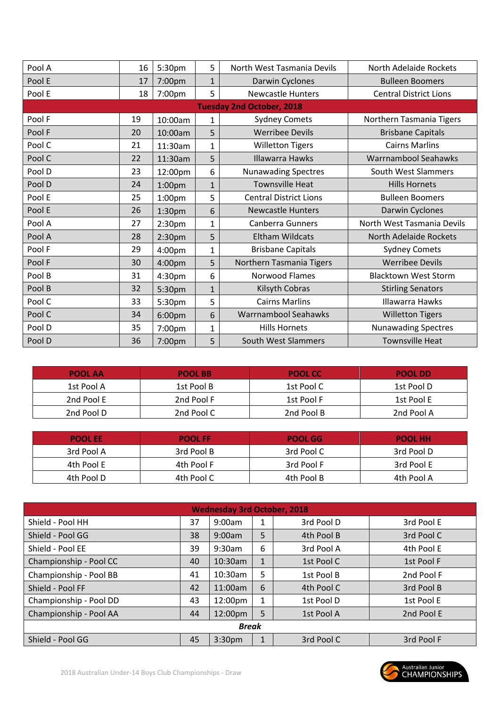| Pool A                           | 16 | 5:30pm             | 5            | North West Tasmania Devils<br>North Adelaide Rockets |                               |  |  |  |  |  |
|----------------------------------|----|--------------------|--------------|------------------------------------------------------|-------------------------------|--|--|--|--|--|
| Pool E                           | 17 | 7:00pm             | $\mathbf{1}$ | Darwin Cyclones                                      | <b>Bulleen Boomers</b>        |  |  |  |  |  |
| Pool E                           | 18 | 7:00pm             | 5            | <b>Newcastle Hunters</b>                             | <b>Central District Lions</b> |  |  |  |  |  |
| <b>Tuesday 2nd October, 2018</b> |    |                    |              |                                                      |                               |  |  |  |  |  |
| Pool F                           | 19 | 10:00am            | 1            | <b>Sydney Comets</b>                                 | Northern Tasmania Tigers      |  |  |  |  |  |
| Pool F                           | 20 | 10:00am            | 5            | <b>Werribee Devils</b>                               | <b>Brisbane Capitals</b>      |  |  |  |  |  |
| Pool C                           | 21 | 11:30am            | $\mathbf{1}$ | <b>Willetton Tigers</b>                              | <b>Cairns Marlins</b>         |  |  |  |  |  |
| Pool C                           | 22 | 11:30am            | 5            | <b>Illawarra Hawks</b>                               | <b>Warrnambool Seahawks</b>   |  |  |  |  |  |
| Pool D                           | 23 | 12:00pm            | 6            | <b>Nunawading Spectres</b>                           | South West Slammers           |  |  |  |  |  |
| Pool D                           | 24 | 1:00 <sub>pm</sub> | $\mathbf{1}$ | <b>Townsville Heat</b>                               | <b>Hills Hornets</b>          |  |  |  |  |  |
| Pool E                           | 25 | 1:00 <sub>pm</sub> | 5            | <b>Central District Lions</b>                        | <b>Bulleen Boomers</b>        |  |  |  |  |  |
| Pool E                           | 26 | 1:30pm             | 6            | <b>Newcastle Hunters</b>                             | Darwin Cyclones               |  |  |  |  |  |
| Pool A                           | 27 | 2:30 <sub>pm</sub> | $\mathbf{1}$ | <b>Canberra Gunners</b>                              | North West Tasmania Devils    |  |  |  |  |  |
| Pool A                           | 28 | 2:30pm             | 5            | <b>Eltham Wildcats</b>                               | North Adelaide Rockets        |  |  |  |  |  |
| Pool F                           | 29 | 4:00pm             | 1            | <b>Brisbane Capitals</b>                             | <b>Sydney Comets</b>          |  |  |  |  |  |
| Pool F                           | 30 | 4:00pm             | 5            | Northern Tasmania Tigers                             | <b>Werribee Devils</b>        |  |  |  |  |  |
| Pool B                           | 31 | 4:30pm             | 6            | Norwood Flames                                       | <b>Blacktown West Storm</b>   |  |  |  |  |  |
| Pool B                           | 32 | 5:30pm             | $\mathbf{1}$ | Kilsyth Cobras                                       | <b>Stirling Senators</b>      |  |  |  |  |  |
| Pool C                           | 33 | 5:30pm             | 5            | <b>Cairns Marlins</b>                                | <b>Illawarra Hawks</b>        |  |  |  |  |  |
| Pool C                           | 34 | 6:00pm             | 6            | Warrnambool Seahawks                                 | <b>Willetton Tigers</b>       |  |  |  |  |  |
| Pool D                           | 35 | 7:00pm             | $\mathbf{1}$ | <b>Hills Hornets</b>                                 | <b>Nunawading Spectres</b>    |  |  |  |  |  |
| Pool D                           | 36 | 7:00pm             | 5            | South West Slammers                                  | <b>Townsville Heat</b>        |  |  |  |  |  |

| <b>POOL AA</b> | <b>POOL BB</b> | <b>POOL CC</b> | <b>POOL DD</b> |
|----------------|----------------|----------------|----------------|
| 1st Pool A     | 1st Pool B     | 1st Pool C     | 1st Pool D     |
| 2nd Pool E     | 2nd Pool F     | 1st Pool F     | 1st Pool E     |
| 2nd Pool D     | 2nd Pool C     | 2nd Pool B     | 2nd Pool A     |

| <b>POOL EE</b> | <b>POOL FF</b> | <b>POOL GG</b> | <b>POOL HH</b> |
|----------------|----------------|----------------|----------------|
| 3rd Pool A     | 3rd Pool B     | 3rd Pool C     | 3rd Pool D     |
| 4th Pool E     | 4th Pool F     | 3rd Pool F     | 3rd Pool E     |
| 4th Pool D     | 4th Pool C     | 4th Pool B     | 4th Pool A     |

| <b>Wednesday 3rd October, 2018</b> |    |                    |              |            |            |  |  |  |
|------------------------------------|----|--------------------|--------------|------------|------------|--|--|--|
| Shield - Pool HH                   | 37 | 9:00am             |              | 3rd Pool D | 3rd Pool E |  |  |  |
| Shield - Pool GG                   | 38 | 9:00am             | 5            | 4th Pool B | 3rd Pool C |  |  |  |
| Shield - Pool EE                   | 39 | 9:30am             | 6            | 3rd Pool A | 4th Pool E |  |  |  |
| Championship - Pool CC             | 40 | 10:30am            | $\mathbf{1}$ | 1st Pool C | 1st Pool F |  |  |  |
| Championship - Pool BB             | 41 | 10:30am            | 5            | 1st Pool B | 2nd Pool F |  |  |  |
| Shield - Pool FF                   | 42 | 11:00am            | 6            | 4th Pool C | 3rd Pool B |  |  |  |
| Championship - Pool DD             | 43 | 12:00pm            | 1            | 1st Pool D | 1st Pool E |  |  |  |
| Championship - Pool AA             | 44 | 12:00pm            | 5            | 1st Pool A | 2nd Pool E |  |  |  |
| <b>Break</b>                       |    |                    |              |            |            |  |  |  |
| Shield - Pool GG                   | 45 | 3:30 <sub>pm</sub> | 1            | 3rd Pool C | 3rd Pool F |  |  |  |

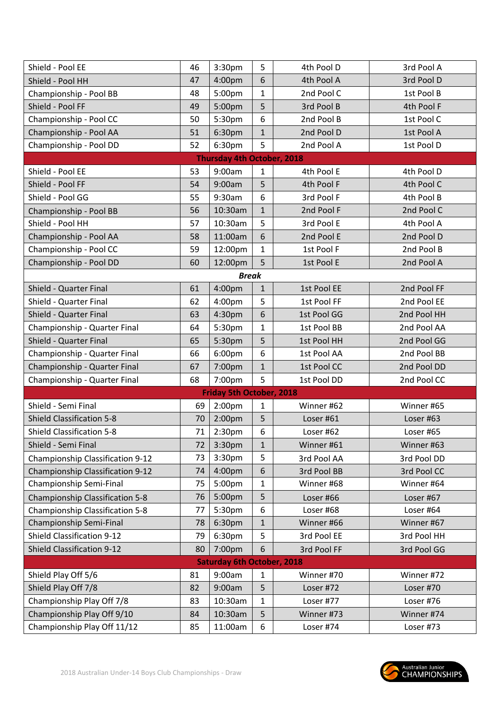| Shield - Pool EE                       | 46 | 3:30pm                          | 5            | 4th Pool D  | 3rd Pool A  |  |  |  |  |
|----------------------------------------|----|---------------------------------|--------------|-------------|-------------|--|--|--|--|
| Shield - Pool HH                       | 47 | 4:00 <sub>pm</sub>              | 6            | 4th Pool A  | 3rd Pool D  |  |  |  |  |
| Championship - Pool BB                 | 48 | 5:00pm                          | 1            | 2nd Pool C  | 1st Pool B  |  |  |  |  |
| Shield - Pool FF                       | 49 | 5:00pm                          | 5            | 3rd Pool B  | 4th Pool F  |  |  |  |  |
| Championship - Pool CC                 | 50 | 5:30pm                          | 6            | 2nd Pool B  | 1st Pool C  |  |  |  |  |
| Championship - Pool AA                 | 51 | 6:30pm                          | 1            | 2nd Pool D  | 1st Pool A  |  |  |  |  |
| Championship - Pool DD                 | 52 | 6:30pm                          | 5            | 2nd Pool A  | 1st Pool D  |  |  |  |  |
| <b>Thursday 4th October, 2018</b>      |    |                                 |              |             |             |  |  |  |  |
| Shield - Pool EE                       | 53 | 9:00am                          | $\mathbf{1}$ | 4th Pool E  | 4th Pool D  |  |  |  |  |
| Shield - Pool FF                       | 54 | 9:00am                          | 5            | 4th Pool F  | 4th Pool C  |  |  |  |  |
| Shield - Pool GG                       | 55 | 9:30am                          | 6            | 3rd Pool F  | 4th Pool B  |  |  |  |  |
| Championship - Pool BB                 | 56 | 10:30am                         | $\mathbf{1}$ | 2nd Pool F  | 2nd Pool C  |  |  |  |  |
| Shield - Pool HH                       | 57 | 10:30am                         | 5            | 3rd Pool E  | 4th Pool A  |  |  |  |  |
| Championship - Pool AA                 | 58 | 11:00am                         | 6            | 2nd Pool E  | 2nd Pool D  |  |  |  |  |
| Championship - Pool CC                 | 59 | 12:00pm                         | $\mathbf{1}$ | 1st Pool F  | 2nd Pool B  |  |  |  |  |
| Championship - Pool DD                 | 60 | 12:00pm                         | 5            | 1st Pool E  | 2nd Pool A  |  |  |  |  |
|                                        |    | <b>Break</b>                    |              |             |             |  |  |  |  |
| Shield - Quarter Final                 | 61 | 4:00pm                          | 1            | 1st Pool EE | 2nd Pool FF |  |  |  |  |
| Shield - Quarter Final                 | 62 | 4:00pm                          | 5            | 1st Pool FF | 2nd Pool EE |  |  |  |  |
| Shield - Quarter Final                 | 63 | 4:30pm                          | 6            | 1st Pool GG | 2nd Pool HH |  |  |  |  |
| Championship - Quarter Final           | 64 | 5:30pm                          | $\mathbf 1$  | 1st Pool BB | 2nd Pool AA |  |  |  |  |
| Shield - Quarter Final                 | 65 | 5:30pm                          | 5            | 1st Pool HH | 2nd Pool GG |  |  |  |  |
| Championship - Quarter Final           | 66 | 6:00pm                          | 6            | 1st Pool AA | 2nd Pool BB |  |  |  |  |
| Championship - Quarter Final           | 67 | 7:00pm                          | $\mathbf{1}$ | 1st Pool CC | 2nd Pool DD |  |  |  |  |
| Championship - Quarter Final           | 68 | 7:00pm                          | 5            | 1st Pool DD | 2nd Pool CC |  |  |  |  |
|                                        |    | <b>Friday 5th October, 2018</b> |              |             |             |  |  |  |  |
| Shield - Semi Final                    | 69 | 2:00 <sub>pm</sub>              | 1            | Winner #62  | Winner #65  |  |  |  |  |
| <b>Shield Classification 5-8</b>       | 70 | 2:00 <sub>pm</sub>              | 5            | Loser #61   | Loser #63   |  |  |  |  |
| <b>Shield Classification 5-8</b>       | 71 | 2:30 <sub>pm</sub>              | 6            | Loser #62   | Loser #65   |  |  |  |  |
| Shield - Semi Final                    | 72 | 3:30pm                          | 1            | Winner #61  | Winner #63  |  |  |  |  |
| Championship Classification 9-12       | 73 | 3:30pm                          | 5            | 3rd Pool AA | 3rd Pool DD |  |  |  |  |
| Championship Classification 9-12       | 74 | 4:00 <sub>pm</sub>              | 6            | 3rd Pool BB | 3rd Pool CC |  |  |  |  |
| Championship Semi-Final                | 75 | 5:00pm                          | 1            | Winner #68  | Winner #64  |  |  |  |  |
| <b>Championship Classification 5-8</b> | 76 | 5:00pm                          | 5            | Loser #66   | Loser #67   |  |  |  |  |
| <b>Championship Classification 5-8</b> | 77 | 5:30pm                          | 6            | Loser #68   | Loser #64   |  |  |  |  |
| Championship Semi-Final                | 78 | 6:30pm                          | $\mathbf{1}$ | Winner #66  | Winner #67  |  |  |  |  |
| Shield Classification 9-12             | 79 | 6:30pm                          | 5            | 3rd Pool EE | 3rd Pool HH |  |  |  |  |
| <b>Shield Classification 9-12</b>      | 80 | 7:00pm                          | 6            | 3rd Pool FF | 3rd Pool GG |  |  |  |  |
| <b>Saturday 6th October, 2018</b>      |    |                                 |              |             |             |  |  |  |  |
| Shield Play Off 5/6                    | 81 | 9:00am                          | 1            | Winner #70  | Winner #72  |  |  |  |  |
| Shield Play Off 7/8                    | 82 | 9:00am                          | 5            | Loser #72   | Loser #70   |  |  |  |  |
| Championship Play Off 7/8              | 83 | 10:30am                         | 1            | Loser #77   | Loser #76   |  |  |  |  |
| Championship Play Off 9/10             | 84 | 10:30am                         | 5            | Winner #73  | Winner #74  |  |  |  |  |
| Championship Play Off 11/12            | 85 | 11:00am                         | 6            | Loser #74   | Loser #73   |  |  |  |  |